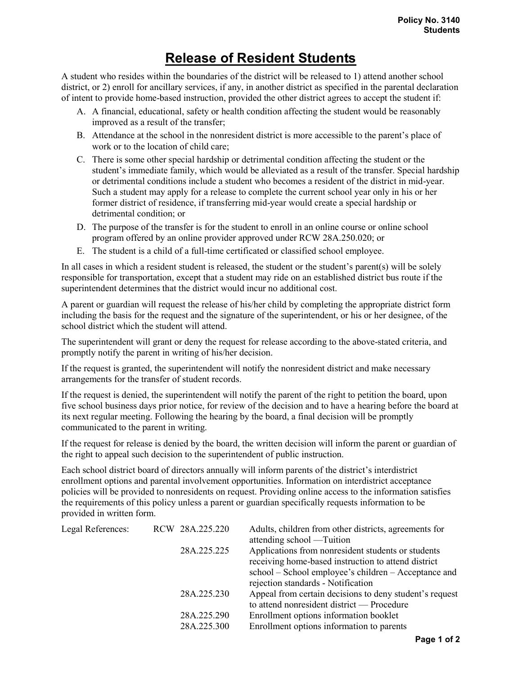## Release of Resident Students

A student who resides within the boundaries of the district will be released to 1) attend another school district, or 2) enroll for ancillary services, if any, in another district as specified in the parental declaration of intent to provide home-based instruction, provided the other district agrees to accept the student if:

- A. A financial, educational, safety or health condition affecting the student would be reasonably improved as a result of the transfer;
- B. Attendance at the school in the nonresident district is more accessible to the parent's place of work or to the location of child care;
- C. There is some other special hardship or detrimental condition affecting the student or the student's immediate family, which would be alleviated as a result of the transfer. Special hardship or detrimental conditions include a student who becomes a resident of the district in mid-year. Such a student may apply for a release to complete the current school year only in his or her former district of residence, if transferring mid-year would create a special hardship or detrimental condition; or
- D. The purpose of the transfer is for the student to enroll in an online course or online school program offered by an online provider approved under RCW 28A.250.020; or
- E. The student is a child of a full-time certificated or classified school employee.

In all cases in which a resident student is released, the student or the student's parent(s) will be solely responsible for transportation, except that a student may ride on an established district bus route if the superintendent determines that the district would incur no additional cost.

A parent or guardian will request the release of his/her child by completing the appropriate district form including the basis for the request and the signature of the superintendent, or his or her designee, of the school district which the student will attend.

The superintendent will grant or deny the request for release according to the above-stated criteria, and promptly notify the parent in writing of his/her decision.

If the request is granted, the superintendent will notify the nonresident district and make necessary arrangements for the transfer of student records.

If the request is denied, the superintendent will notify the parent of the right to petition the board, upon five school business days prior notice, for review of the decision and to have a hearing before the board at its next regular meeting. Following the hearing by the board, a final decision will be promptly communicated to the parent in writing.

If the request for release is denied by the board, the written decision will inform the parent or guardian of the right to appeal such decision to the superintendent of public instruction.

Each school district board of directors annually will inform parents of the district's interdistrict enrollment options and parental involvement opportunities. Information on interdistrict acceptance policies will be provided to nonresidents on request. Providing online access to the information satisfies the requirements of this policy unless a parent or guardian specifically requests information to be provided in written form.

| Legal References: | RCW 28A.225.220 | Adults, children from other districts, agreements for<br>attending school — Tuition |
|-------------------|-----------------|-------------------------------------------------------------------------------------|
|                   | 28A.225.225     | Applications from nonresident students or students                                  |
|                   |                 | receiving home-based instruction to attend district                                 |
|                   |                 | school – School employee's children – Acceptance and                                |
|                   |                 | rejection standards - Notification                                                  |
|                   | 28A.225.230     | Appeal from certain decisions to deny student's request                             |
|                   |                 | to attend nonresident district - Procedure                                          |
|                   | 28A.225.290     | Enrollment options information booklet                                              |
|                   | 28A.225.300     | Enrollment options information to parents                                           |
|                   |                 |                                                                                     |